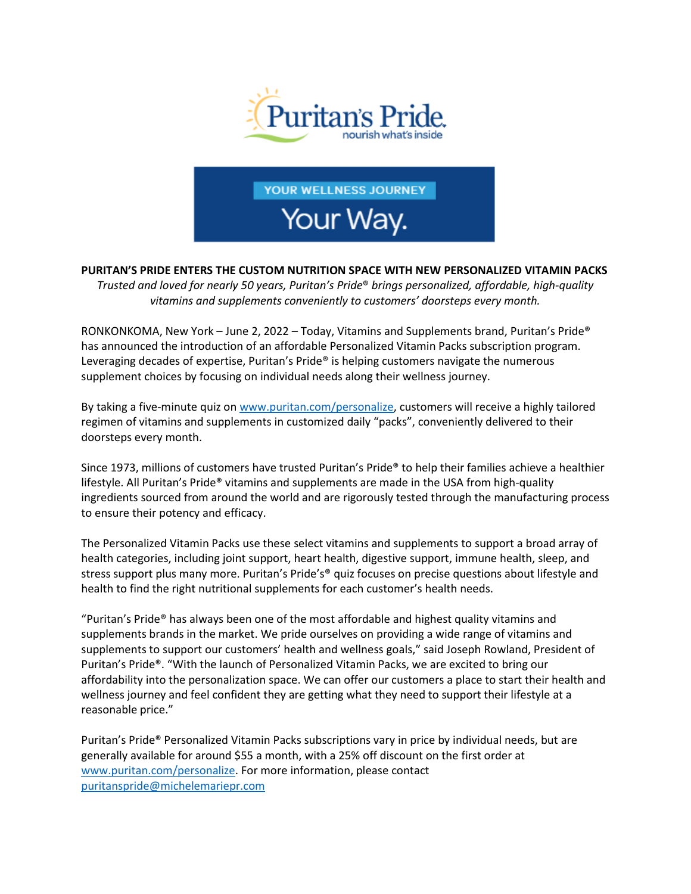

YOUR WELLNESS JOURNEY

Your Way.

**PURITAN'S PRIDE ENTERS THE CUSTOM NUTRITION SPACE WITH NEW PERSONALIZED VITAMIN PACKS**

*Trusted and loved for nearly 50 years, Puritan's Pride*® *brings personalized, affordable, high-quality vitamins and supplements conveniently to customers' doorsteps every month.*

RONKONKOMA, New York – June 2, 2022 – Today, Vitamins and Supplements brand, Puritan's Pride® has announced the introduction of an affordable Personalized Vitamin Packs subscription program. Leveraging decades of expertise, Puritan's Pride® is helping customers navigate the numerous supplement choices by focusing on individual needs along their wellness journey.

By taking a five-minute quiz on [www.puritan.com/personalize,](http://www.puritan.com/personalize) customers will receive a highly tailored regimen of vitamins and supplements in customized daily "packs", conveniently delivered to their doorsteps every month.

Since 1973, millions of customers have trusted Puritan's Pride® to help their families achieve a healthier lifestyle. All Puritan's Pride® vitamins and supplements are made in the USA from high-quality ingredients sourced from around the world and are rigorously tested through the manufacturing process to ensure their potency and efficacy.

The Personalized Vitamin Packs use these select vitamins and supplements to support a broad array of health categories, including joint support, heart health, digestive support, immune health, sleep, and stress support plus many more. Puritan's Pride's<sup>®</sup> quiz focuses on precise questions about lifestyle and health to find the right nutritional supplements for each customer's health needs.

"Puritan's Pride® has always been one of the most affordable and highest quality vitamins and supplements brands in the market. We pride ourselves on providing a wide range of vitamins and supplements to support our customers' health and wellness goals," said Joseph Rowland, President of Puritan's Pride®. "With the launch of Personalized Vitamin Packs, we are excited to bring our affordability into the personalization space. We can offer our customers a place to start their health and wellness journey and feel confident they are getting what they need to support their lifestyle at a reasonable price."

Puritan's Pride® Personalized Vitamin Packs subscriptions vary in price by individual needs, but are generally available for around \$55 a month, with a 25% off discount on the first order at [www.puritan.com/personalize.](http://www.puritan.com/personalize) For more information, please contact [puritanspride@michelemariepr.com](mailto:puritanspride@michelemariepr.com)